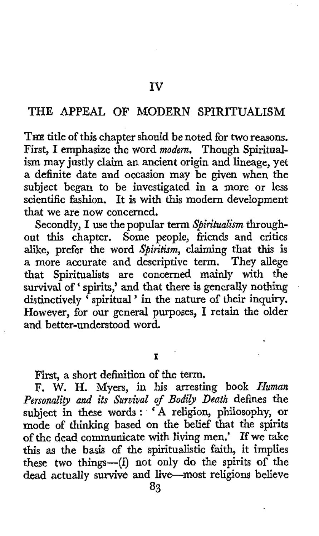## **THE APPEAL OF MODERN SPIRITUALISM**

**THE** title of this chapter should be noted for two reasons. First, I emphasize the word *modern.* Though Spiritualism may justly claim an ancient origin and lineage, yet **a** definite date and occasion may be given when the subject began to be investigated in *a* more or less scientific fashion. It is with this modern development that we are now concerned.

Secondly, I use the popular term *Spiritualism* throughout this chapter. Some people, friends and critics alike, prefer the word *Spiritism,* claiming that *this* is a more accurate and descriptive term. They allege that Spiritualists are concerned mainly with the survival of ' spirits,' and that there is generally nothing survival of 'spirits,' and that there is generally houning<br>distinctively 'spiritual' in the nature of their inquiry. However, for our general purposes, I retain the older and better-understood word.

**I** 

First, *a* short definition of the term.

F. W. H. Myers, in his arresting book *Human Personality and its Suruival of Bodib Death* defines the subject in these words : ' **A** religion, philosophy, or mode of thinking based on the belief that the spirits of the dead communicate with living men.' If we take this as the basis of the spiritualistic faith, it implies these two things-(i) not only do the spirits of the **dead** actually **survive** and live-most religions believe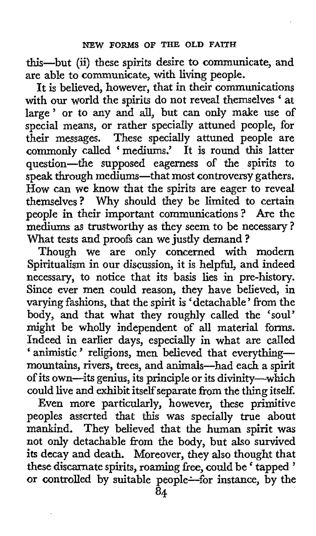this-but **(ii)** these spirits desire to communicate, and are able to communicate, with living people.

It is believed, however, that in their communications with our world the spirits do not reveal themselves ' at large' or to any and all, but can only make use **of**  special means, **or** rather specially attuned people, for their messages. These specially attuned people are commonly called 'mediums.' It is round this latter question-the supposed eagerness of the spirits to speak through mediums-that most controversy gathers. How can we know that the spirits are eager to reveal themselves? Why should they be limited to certain people in their important communications? Are the mediums **as** trustworthy as they seem to be necessary? What tests and proofs can we justly demand?

Though we are only concerned with modern Spiritualism in **our** discussion, it is helpful, and indeed necessary, to notice that its basis lies in pre-history. Since ever men could reason, they have believed, in varying fashions, that the spirit is 'detachable' from the body, and that what they roughly called the 'soul' might be wholly independent of **all** material forms. Indeed in earlier days, especially in what are called ' animistic' religions, men believed that everythingmountains, rivers, trees, and animals-had each a spirit of its own-its genius, its principle or its divinity-which could live and exhibit itselfseparate from the thing itself.

Even more particularly, however, these primitive peoples asserted that this was specially true about mankind. They believed that the human spirit was not only detachable from the body, but also survived its decay and death. Moreover, they also thought that these discarnate spirits, roaming free, could be ' tapped '<br>these discarnate spirits, roaming free, could be ' tapped ' or controlled by suitable people-for instance, by the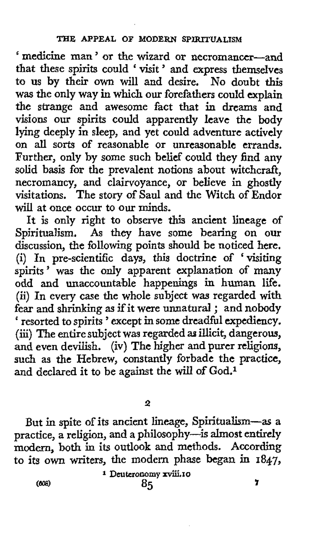' medicine man ' or the wizard or necromancer-and that these spirits could ' visit ' and express themselves to us by their **own** will and desire. No doubt **this**  was the only way in which our forefathers could explain the strange and awesome fact that in dreams and visions our spirits could apparently leave the body lying deeply in sleep, and yet could adventure actively on all sorts of reasonable or unreasonable errands. Further, only by some such belief could they find any solid basis for the prevalent notions about witchcraft, necromancy, and clairvoyance, or believe in ghostly visitations. The story of Saul and the Witch of Endor will at once occur to **our** minds.

It is only right to observe this ancient lineage of Spiritualism. *As* they have some bearing on our discussion, the following points should be noticed here. (i) In pre-scientific days, this doctrine of 'visiting spirits' was the **only** apparent explanation of many odd and unaccountable happenings in human life. (ii) In every case the whole subject was regarded with fear and shrinking **as** if it were unnatural ; and nobody ' resorted to spirits ' except in some dreadful expediency. (iii) The entire subject was regarded **as** illicit, dangerous, and even devilish. (iv) The higher and purer religions, such as the Hebrew, constantly forbade the practice, and declared it to be against the **will** of God.1

**2** 

But in spite of its ancient lineage, Spiritualism-as **a**  practice, a religion, and *a* philosophy-is almost entirely modern, both in its **outlook** and methods. According to its own writers, the modern phase began in **1847,** 

**<sup>1</sup>**Deuteronomy **xviii.10**  *(rn)* **85** ?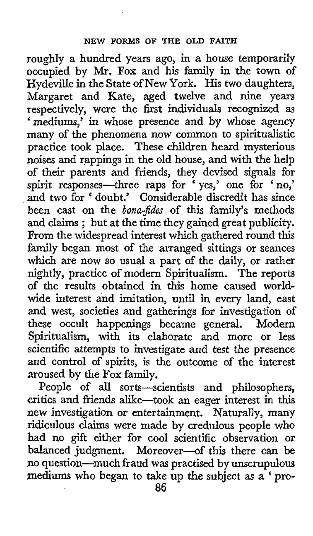roughly a hundred years ago, in *a* house temporarily occupied by Mr. **Fox** and his family in the town of Hydeville in the State of New York. His two daughters, Margaret and Kate, aged twelve and nine years respectively, were the first individuals recognized as 'mediums,' in whose presence and by whose agency many of the phenomena now common to spiritualistic practice took place, These children heard mysterious noises and rappings in the old house, and with the help of their parents and friends, they devised signals for spirit responses-three raps for 'yes,' one for 'no,' and two for ' doubt.' Considerable discredit has since been cast on the *bona-fides* of this family's methods been cast on the *bona-paes* of this family's methods<br>and claims; but at the time they gained great publicity. From the widespread interest which gathered round this family began most of the arranged sittings or seances which are now so usual a part of the daily, or rather nightly, practice of modern Spiritualism. The reports of the results obtained in this home caused worldwide interest and imitation, until in every land, east and west, societies and gatherings for investigation of these occult happenings became general. Modern Spiritualism, with its elaborate and more or less scientific attempts to investigate and test the presence and control of spirits, is the outcome of the interest aroused by the **Fox** family.

People of all sorts-scientists and philosophers, critics and friends alike-took an eager interest in this new investigation *or* entertainment. Naturally, many ridiculous claims were made by credulous people **who**  had no gift either **for** cool scientific observation or balanced judgment. Moreover-of this there can be no question-much fraud **was** practised by unscrupulous mediums **who** began to take up the subject as a ' **pro-**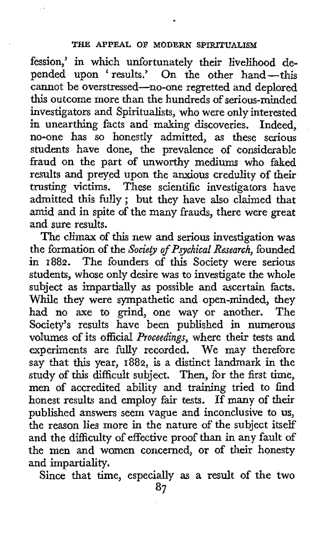## **THE APPEAL OF MODERN SPIRITUALISM**

fession,' in which unfortunately their livelihood depended upon 'results.' On the other hand-this cannot be overstressed-no-one regretted and deplored this outcome more than the hundreds of serious-minded investigators and Spiritualists, who were only interested in unearthing facts and making discoveries. Indeed, no-one has so honestly admitted, as these serious students have done, the prevalence of considerable fraud on the part of unworthy mediums who faked results and preyed upon the anxious credulity of their trusting victims. These scientific investigators have admitted this fully ; but they have also claimed that amid and in spite of the many frauds, there were great and sure results.

The climax of *this* new and serious investigation was the formation of the *Society of Pgchical Research,* founded in **1882.** The founders of this Society were serious students, whose only desire was to investigate the whole subject as impartially **as** possible and ascertain facts. While they were sympathetic and open-minded, they had no axe to grind, one way or another. The Society's results have been published in numerous volumes of its official *Proceedings,* where their tests and experiments are fully recorded. We may therefore say that this year, **1882,** is a distinct landmark in the study of this difficult subject. Then, for the first time, men of accredited ability and training tried to find honest results and employ fair tests. If many of their published answers seem vague and inconclusive to us, the reason lies more in the nature of the subject itself and the difficulty of effective proof than in any fault of the men and women concerned, or of their honesty and impartiality.

Since that time, especially as a result of the two

**87**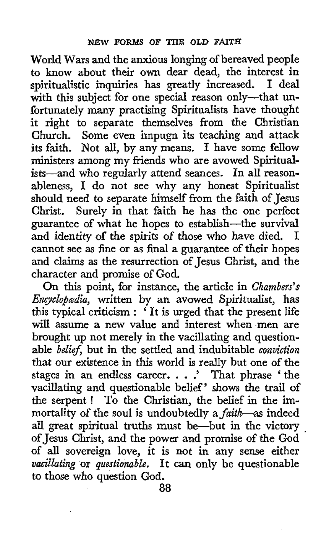World Wars and the anxious longing of bereaved people to know about their **own** dear dead, the interest in spiritualistic inquiries has greatly increased. I deal with this subject for one special reason only---that unfortunately many practising Spiritualists have thought it right to separate themselves from the Christian Church. Some even impugn its teaching and attack its faith. Not all, by any means. I have some fellow ministers among my friends who are avowed Spiritualists-and who regularly attend seances. In all reasonableness, I do not see why any honest Spiritualist should need to separate himself from the faith of Jesus Christ. Surely in that faith he has the one perfect guarantee of what he hopes to establish-the survival and identity of the spirits *of* those who have died. *<sup>I</sup>* cannot see as fine or as final a guarantee of their hopes and claims as the resurrection of Jesus Christ, and the character and promise of God.

On this point, for instance, the article in Chambers's *Encyclopædia*, written by an avowed Spiritualist, has this typical criticism : 'It is urged that the present life will assume a new value and interest when men are brought up not merely in the vacillating and questionable *belief*, but in the settled and indubitable *conviction* that our existence in **this** world is really but one of the stages in an endless career. . . .' That phrase 'the vacillating and questionable belief' shows the trail *of*  the serpent ! To the Christian, the belief in the immortality of the soul is undoubtedly a *faith*-as indeed all great spiritual truths must be-but in the victory of Jesus Christ, and the power and promise of the God of all sovereign love, it is not in any sense either vacillating or questionable. It can only be questionable **to** those who question God.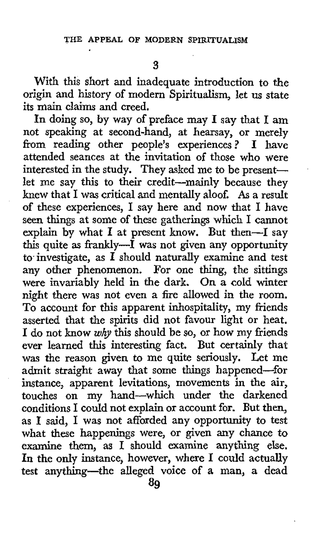**3** 

With this short and inadequate introduction to the origin and history of modern Spiritualism, let us state its main claims and creed.

In doing so, by way of preface may I say that I am not speaking at second-hand, at hearsay, or merely from reading other people's experiences? I have attended seances at the invitation **of** those who were interested in the study. They asked me to be presentlet me say this to their credit-mainly because they knew that I was critical and mentally aloof. *As* a result of these experiences, I say here and now that I have seen things at some **of** these gatherings which I cannot explain by what I at present know. But then-I say this quite **as** frankly-I was not given any opportunity to investigate, as  $\vec{I}$  should naturally examine and test any other phenomenon. For one thing, the sittings were invariably held in the dark. On a cold winter night there was not even a fire allowed in the room. To account for this apparent inhospitality, my friends asserted that the spirits did not favour light or heat. I do not know *why* this should be so, or how my friends ever learned this interesting fact. But certainly that was the reason given to me quite seriously. Let me admit straight away that some things happened-for instance, apparent levitations, movements in the air, touches on my hand-which under the darkened conditions I could not explain or account for. But then, as I said, I was not afforded any opportunity to test what these happenings were, or given any chance to examine them, as I should examine anything else. In the only instance, however, where I could actually test anything-the alleged voice **of** a **man,** a dead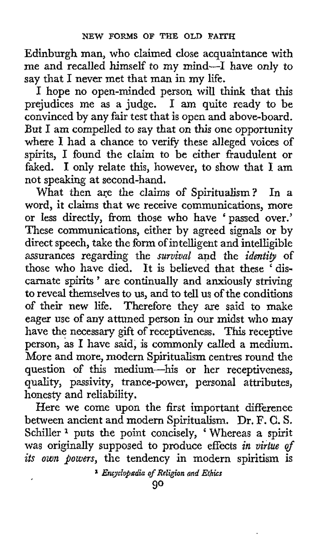Edinburgh man, who claimed close acquaintance with me and recalled himself to my mind-I have only to say that I never met that man in my life.

I hope no open-minded person wilI *think* that this prejudices me as a judge. I am quite ready to be convinced by any fair test that is open and above-board. But I am compelled to say that on this one opportunity where I had a chance to verify these alleged voices of spirits, I found the claim to be either fraudulent or faked. I only relate this, however, to show that **I** am not speaking at second-hand.

In a word, it claims that we receive communications, more or less directly, from those who have 'passed over.' These communications, either by agreed signals or by direct speech, take the form of intelligent and intelligible assurances regarding the *survival* and the *identity* of those who have died. It is believed that these 'discarnate spirits ' are continually and anxiously striving to reveal themselves to us, and to tell us of the conditions of their new life. Therefore they are said to make eager use of any attuned person in our midst who may have the necessary gift of receptiveness. **This** receptive person, **as I** have said, is commonly called a medium. More and more, modern Spiritualism centres round the question of this medium-his or her receptiveness, quality, passivity, trance-power, personal attributes, honesty and reliability. What then are the claims of Spiritualism?

Here we come upon the first important difference between ancient and modern Spiritualism. Dr, F. **C.** S. Schiller **1** puts the point concisely, ' Whereas a spirit was originally supposed to produce effects *in virtue* of *its own powers,* the tendency in modern spiritism is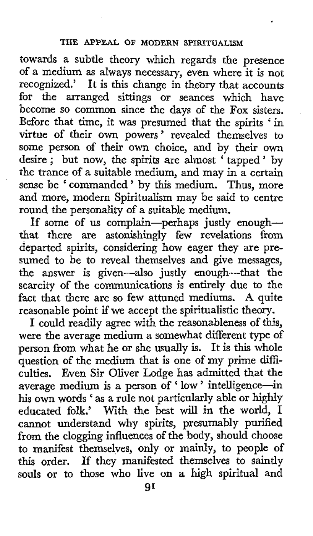towards a subtle theory which regards the presence of a medium as always necessary, even where it is not recognized.' It is this change in theory that accounts for the arranged sittings or seances which have become so common since the days of the **Fox** sisters. Before that time, it was presumed that the spirits 'in virtue of their own powers' revealed themselves to some person of their own choice, and by their own some person of their own choice, and by their own<br>desire ; but now, the spirits are almost 'tapped' by the trance of a suitable medium, and may in a certain sense be 'commanded' by this medium. Thus, more and more, modern Spiritualism may be said to centre round the personality of a suitable medium.

If some of us complain-perhaps justly enoughthat there are astonishingly few revelations from departed spirits, considering how eager they are presumed to be to reveal themselves and give messages, the answer is given-also justly enough-that the scarcity of the communications is entirely due to the fact that there are so few attuned mediums. **A** quite reasonable point if we accept the spiritualistic theory.

I could readily agree with the reasonableness of this, were the average medium a somewhat different type of person from what he or she usually is. It is this whole question of the medium that is one of my prime difficulties. Even Sir Oliver Lodge has admitted that the average medium is a person of ' low ' intelligence-in his own words ' **as** a rule not particularly able or highly educated folk.' With the best will in the world, I cannot understand why spirits, presumably purified from the clogging influences of the body, should choose to manifest themselves, only **or** mainly, to people of **this** order. If they manifested themselves to saintly souls or to those **who** live on **a** high spiritual and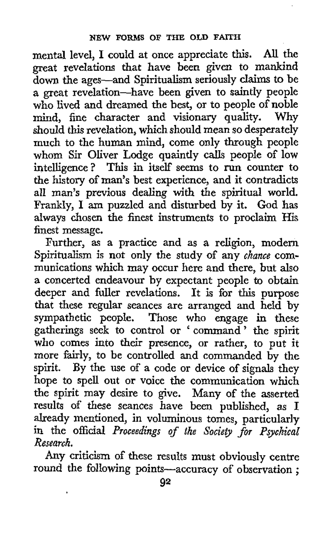mental level, I could at once appreciate **this.** *All* the great revelations that have been given to mankind down the ages-and Spiritualism seriously claims to be a great revelation-have been given to saintly people who lived and dreamed the best, or to people of noble mind, fine character and visionary quality. Why should *this* revelation, which should mean so desperately much to the human mind, come only through people whom Sir Oliver Lodge quaintly calls people of low intelligence? This in itself seems to run counter to the history of man's best experience, and it contradicts all man's previous dealing with the spiritual world. Frankly, I am puzzled and disturbed by it. God has always chosen the finest instruments to proclaim His finest message.

Further, **as** a practice and as a religion, modern Spiritualism is not only the study of any *chance* communications which may occur here and there, but also a concerted endeavour by expectant people to obtain deeper and fuller revelations. It is for this purpose that these regular seances are arranged and held by sympathetic people. Those **who** engage in these gatherings seek to control or ' command' the spirit who comes into their presence, or rather, to put it more fairly, to be controlled and commanded by the spirit. By the use of a code or device of signals they hope to spell out or voice the communication which the spirit may desire to give. Many of the asserted results of these seances have been published, as I already mentioned, in voluminous tomes, particularly in the official *Proceedings of the Society for Psychical Research.* 

Any criticism of these results must obviously centre round the following points-accuracy of observation ;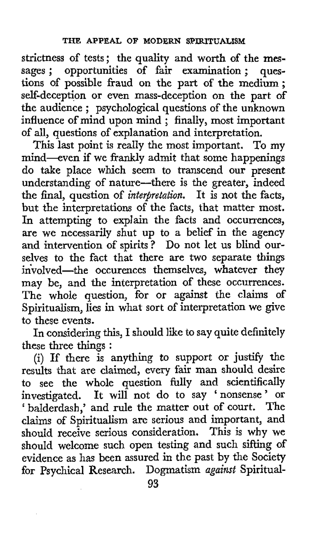strictness of tests; the quality and worth of the messages; opportunities of fair examination; questions of possible fraud on the part of the medium; self-deception or even mass-deception on the part of seur-acception or even mass-acception on the part of<br>the audience ; psychological questions of the unknown influence of mind upon mind; finally, most important of all, questions of explanation and interpretation.

This last point is really the most important. To my mind-even if we frankly admit that some happenings do take place which seem to transcend our present understanding of nature-there is the greater, indeed the final, question of *interpretation*. It is not the facts, but the interpretations of the facts, that matter most. In attempting to explain the facts and occurrences, are we necessarily shut up to a belief in the agency and intervention of spirits? Do not let us blind ourselves to the fact that there are two separate things involved-the occurences themselves, whatever they may be, and the interpretation of these occurrences. The whole question, for or against the claims of Spiritualism, lies in what sort of interpretation we give to these events.

In considering this, I should like to say quite definitely these three things :

(i) If there is anything to support or justify the results that are claimed, every fair man should desire to see the whole question fully and scientifically investigated. It will not do to say 'nonsense' or ' balderdash,' and rule the matter out of court. The claims of Spiritualism are serious and important, and should receive serious consideration. This is why we should welcome such open testing and such sifting of evidence as has been assured in the past by the Society for Psychical Research. Dogmatism *uguimt* Spiritual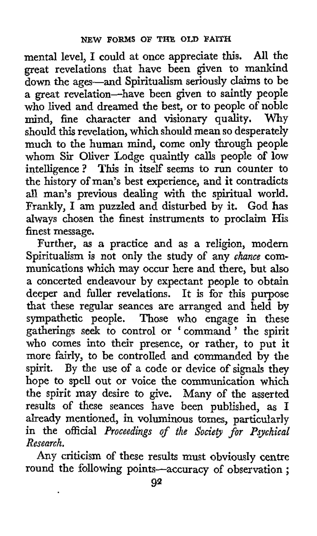mental level, I could at once appreciate this. *All* the great revelations that have been given to mankind down the ages-and Spiritualism seriously claims to be a great revelation-have been given to saintly people who lived and dreamed the best, or to people of noble mind, fine character and visionary **quality.** Why should this revelation, which should mean so desperately much to the human mind, come only through people whom **Sir** Oliver Lodge quaintly calls people **of** low intelligence? This in itself seems to run counter to the history of man's best experience, and it contradicts all man's previous dealing with the spiritual world. Frankly, I am puzzled and disturbed by it. God has always chosen the finest instruments to proclaim **His**  finest message.

Further, **as a** practice and as a religion, modern Spiritualism is not only the study of any *chance* communications which may occur here and there, but also a concerted endeavour by expectant people to obtain deeper and fuller revelations. It is for **this** purpose that these regular seances are arranged and held by sympathetic people. Those **who** engage in these gatherings seek to control or ' command ' the spirit who comes into their presence, or rather, to put it more fairly, to be controlled and commanded by the spirit. By the use of a code or device of signals they hope to spell out or voice the communication which the spirit may desire to give. Many of the asserted results of these seances have been published, as I already mentioned, in voluminous tomes, particularly in the official *Proceedings of the Sociep for Psychical Research.* 

Any criticism of these results must obviously centre round the following points-accuracy of observation ;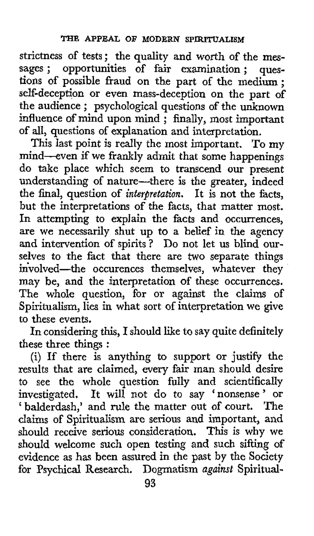strictness of tests; the quality and worth of the **mes-**sages ; opportunities of fair examination ; questions of possible fraud on the part of the medium; self-deception or even mass-deception on the part of the audience ; psychological questions of the unknown influence of mind upon mind ; finally, most important of all, questions of explanation and interpretation.

**This** last point is really the most important. To my mind-even if we frankly admit that some happenings do take place which seem to transcend our present understanding of nature-there is the greater, indeed the final, question of *interpretation.* It is not the facts, but the interpretations of the facts, that matter most. In attempting to explain the facts and occurrences, are we necessarily shut up to a belief in the agency and intervention of spirits? Do not let us blind ourselves to the fact that there are two separate things involved-the occurences themselves, whatever they may be, and the interpretation of these occurrences. The whole question, for or against the claims **of**  Spiritualism, lies in what sort of interpretation we give to these events.

**In** considering this, I should like to say quite definitely these three things :

(i) If there is anything to support or justify the results that are claimed, every fair man should desire to see the whole question fully and scientifically investigated. It will not do to say 'nonsense' or ' balderdash,' and rule the matter out of court. The claims of Spiritualism are serious and important, and should receive serious consideration. This is why we should welcome such open testing **and** such sifting of evidence as has been assured in the past by the Society for Psychical Research. Dogmatism *against* Spiritual-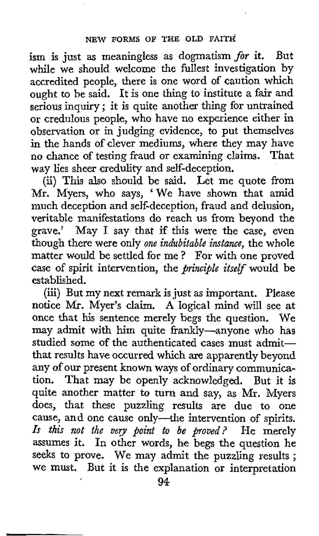ism is just as meaningless as dogmatism *for* it. But while we should welcome the fullest investigation by accredited people, there is one word of caution which ought to be said. It is one thing to institute a fair and serious inquiry ; it is quite another thing for untrained or credulous people, who have no experience either in observation or in judging evidence, to put themselves in the hands of clever mediums, where they may have no chance of testing fraud or examining claims. That way lies sheer credulity and self-deception.

(ii) This also should be said. Let me quote from Mr. Myers, who says, 'We have shown that amid much deception and self-deception, fraud and delusion, veritable manifestations do reach **us** from beyond the grave.' May I say that if this were the case, even though there were only *one indubitable instance,* the whole matter would be settled for me ? For with one proved case of spirit intervention, the *principle itself* would be established.

(iii) But my next remark is just as important. Please notice **Mi.** Myer's claim. **A** logical mind will see at once that his sentence merely begs the question. We may admit with him quite frankly-anyone who has studied some of the authenticated cases must admitthat results have occurred which are apparently beyond any of our present known ways of ordinary communication. That may be openly acknowledged. But it is quite another matter to turn and say, as Mr. Myers does, that these puzzling results are due to one cause, and one cause only—the intervention of spirits. Is this not the very point to be proved? He merely assumes it. In other words, he begs the question he seeks to prove. We may admit the puzzling results ; **we** must. But it is the explanation or interpretation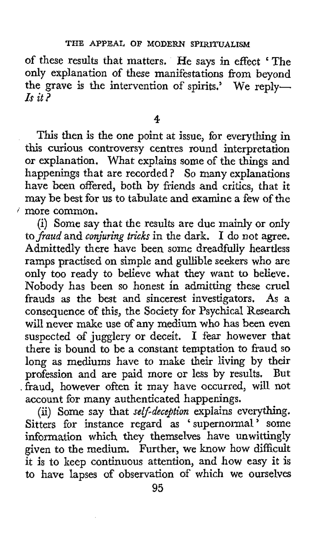of these results that matters. He says in effect 'The only explanation of these manifestations from beyond the grave is the intervention of spirits.' We reply*rs it?* 

**4** 

**This** then is the one point at issue, for everything in this curious controversy centres round interpretation or explanation. What explains some of the things and happenings that are recorded ? So many explanations have been offered, both by friends and critics, that it may be best for us to tabulate and examine a few of the ' more common.

(i) Some say that the results are due mainly or only to *fraud* and *conjuring tricks* in the dark. I do not agree. Admittedly there have been some dreadfully heartless ramps practised on simple and gullible seekers who are only too ready to believe what they want to believe. Nobody has been so honest **in** admitting these cruel frauds as the best and sincerest investigators. As a consequence of this, the Society for Psychical Research will never make use of any medium who has been even suspected of jugglery or deceit. I fear however that there is bound to be a constant temptation to fraud so long as mediums have to make their living by their profession and are paid more or less by results. But ,fraud, however often it may have occurred, will not account for many authenticated happenings.

(ii) Some say that *self-deception* explains everything. Sitters for instance regard as ' supernormal ' some information which they themselves have unwittingly given to the medium. Further, we know how difficult it is to keep continuous attention, and how easy it is to have lapses of observation of which we ourselves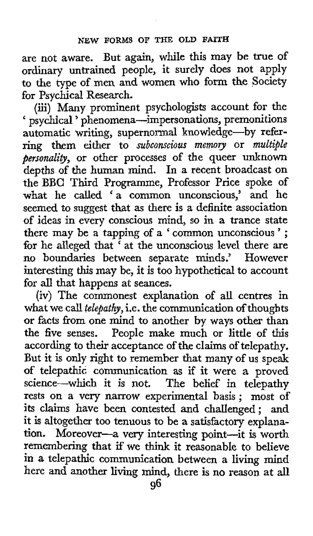are not aware. But again, while this may be true of ordinary untrained people, it surely does not apply to the type of men and women who **form** the Society for Psychical Research.

(iii) Many prominent psychologists account for the ' psychical ' phenomena-impersonations, premonitions automatic writing, supernormal knowledge-by referring them either to *subconscious memory* or *multiljle personality*, or other processes of the queer unknown depths of the human mind. In a recent broadcast on the BBC Third Programme, Professor Price spoke **of**  what he called 'a common unconscious,' and he seemed to suggest that as there is a definite association of ideas in every conscious mind, so in a trance state there may be a tapping of a ' common unconscious'; for he alleged that <sup>?</sup> at the unconscious level there are no boundaries between separate minds.' However interesting this may be, it is too hypothetical to account for **all** that happens at seances.

(iv) The commonest explanation of all centres in what we call *telepathy,* i.e. the communication of thoughts or facts from one mind to another by ways other than the five senses. People make much or little of this according to their acceptance of the claims of telepathy. But it is only right to remember that many of us speak of telepathic communication as if it were **a** proved science-which it is not. The belief in telepathy rests on a very narrow experimental basis ; most of its claims have been contested and challenged; and it is altogether too tenuous to be a satisfactory explanation. Moreover-a very interesting point-it is worth remembering that if we **think** it reasonable to believe in **a** telepathic communication between a living mind here and another living mind, there is no reason at all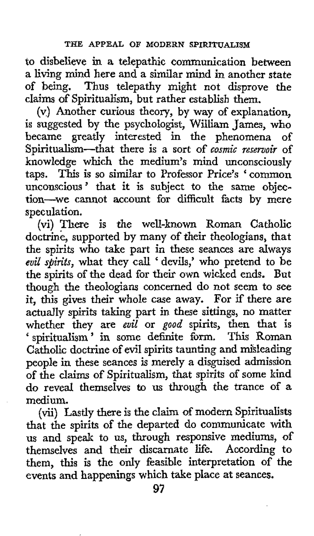to disbelieve in a telepathic communication between a living mind here and a similar mind in another state of being. Thus telepathy might not disprove the claims of Spiritualism, but rather establish them.

(v) Another curious theory, by way of explanation, is suggested by the psychologist, William James, who became greatly interested in the phenomena *of*  Spiritualism-that there is a sort of *cosmic reservoir* of knowledge which the medium's mind unconsciously taps. This **is** so similar to Professor Price's 'common unconscious' that it is subject to the same objection-we cannot account for difficult facts by mere speculation.

(vi) There is the well-known Roman Catholic doctrine, supported by many of their theologians, that the spirits who take part in these seances are always *evil spirits,* what they call ' devils,' who pretend to be the spirits of the dead for their **own** wicked ends. But though the theologians concerned do not seem to see it, this gives their whole case away. For if there are actually spirits taking part in these sittings, no matter whether they *are euil* or *good* spirits, then that **is**  ' spiritualism' in some definite form. This Roman Catholic doctrine of evil spirits taunting and mihleading people in these seances is merely a disguised admission of the claims **of** Spiritualism, that spirits of some kind do reveal themselves to us through the trance of *a*  medium.

(vii) Lastly there is the claim of modern Spiritualists that the spirits of the departed do communicate with us and speak to us, through responsive mediums, of themselves and their discarnate life. According to them, this is the only feasible interpretation of the events and happenings which take place at seances.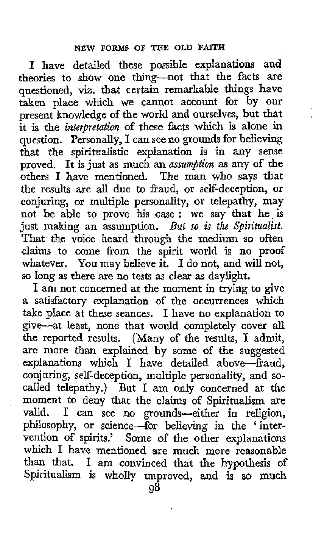I have detailed these possible explanations and theories to show one thing-not that the facts are questioned, **viz.** that certain remarkable things have taken place which we cannot account for by our present knowledge of the world and ourselves, but that it is the *interpetation* **of** these facts which is alone in question. Personally, I can see no grounds for believing that the spiritualistic explanation is in any sense proved. It is just as much an *assumption* as any of the others I have mentioned. The man who says that the results are all due to fraud, or self-deception, or conjuring, or multiple personality, or telepathy, may not be able to prove his case : **we** say that he. is just making an assumption. *But* so *is the Spiritualist.*  That the voice heard through the medium so often claims to come from the spirit world is no proof whatever. You may believe it. I do not, and will not, so long as there are no tests as clear as daylight.

I am not concerned at the moment in trying to give a satisfactory explanation of the occurrences which take place at these seances. I have no explanation to give-at least, none that would completely cover all the reported results. (Many of the results, I admit, are more than explained by some of the suggested explanations which I have detailed above-fraud, conjuring, self-deception, multiple personality, and socalled telepathy.) But I am **only** concerned at the moment to deny that the claims of Spiritualism are valid. I can see no grounds-either in religion, philosophy, or science-for believing in the ' intervention of spirits.' Some of the other explanations which I have mentioned are much more reasonable than that. I am convinced that the hypothesis of Spiritualism is wholly unproved, **and** is so much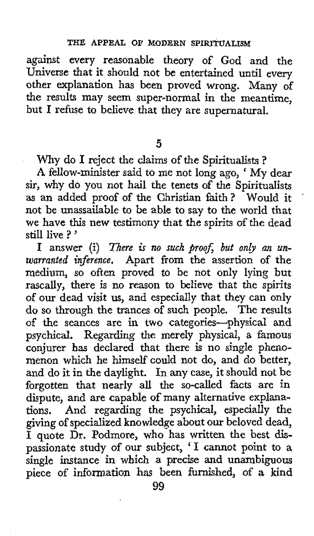against every reasonable theory of God and the Universe that it should not be entertained until every other explanation has been proved wrong. Many of the results may seem super-normal in the meantime, but I refuse to believe that they are supernatural.

**5** 

Why do **I** reject the claims of the Spiritualists ?

**<sup>A</sup>**fellow-minister said to me not long ago, ' My dear sir, why do you not hail the tenets of the Spiritualists as an added proof of the Christian faith? Would it ' not be unassailable to be able to say to the world that we have this new testimony that the spirits of the dead still live ? '

I answer (i) There is no such proof, but only an un*warranted inference.* Apart from the assertion of the medium, so often proved to be not only lying but rascally, there is no reason to believe that the spirits of our dead visit us, and especially that they can only do **so** through the trances of such people. The results of the seances are in **two** categories-physical and psychical. Regarding the merely physical, a famous conjurer has declared that there is no single phenomenon which he himself' could not do, and do better, and do it in the daylight, In any case, it should not be forgotten that nearly all the so-called facts are in dispute, and are capable of many alternative explanations. And regarding the psychical, especially the giving of specialized knowledge about our beloved dead, I quote Dr. Podmore, who has written the best dispassionate study of our subject, **'I** cannot point to a single instance in which a precise and unambiguous piece of information has been furnished, of **a** kind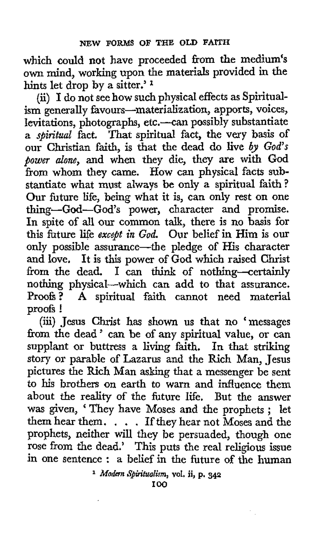which could not have proceeded from the medium's **own** mind, working upon the materials provided in the hints let drop by a sitter.'<sup>1</sup>

(ii) I do not see how such physical effects as Spiritualism generally favours-materialization, apports, voices, levitations, photographs, etc.-can possibly substantiate a *spiritud* fact. That spiritual fact, the very basis of our Christian **faith,** is that the dead do live *by God's power alone,* and when they die, they are with God from whom they came. **How** can physical facts substantiate what must always be only a spiritual faith? Our future life, being what it is, can only rest on one thing-God-God's power, character and promise. In spite of all our common talk, there is no basis for this future life *except in God.* Our belief in Him is our only possible assurance-the pledge of His character and love. It is **this** power **of** God which raised Christ from the dead. I can *think* of nothing-certainly nothing physical-which can add to that assurance.<br>Proofs? A spiritual faith cannot need material A spiritual faith cannot need material proofs !

(iii) Jesus Christ has shown us that no 'messages from the dead ' can be of any spiritual value, or can supplant or buttress a living faith. In that striking story or parable of Lazarus and the Rich Man, Jesus pictures the Rich Man asking that a messenger be sent to his brothers on earth to warn and influence them about the reality of the future life. But the answer about the reality of the future life. But the answer<br>was given, 'They have Moses and the prophets ; let was given, "They have Moses and the prophets; let<br>them hear them.... If they hear not Moses and the prophets, neither will they be persuaded, though one rose from the dead.' This puts the real religious issue in one sentence : a belief in the future of the human

*Modern Spiritualism,* **vol.** ii, **p. 342** 

**100**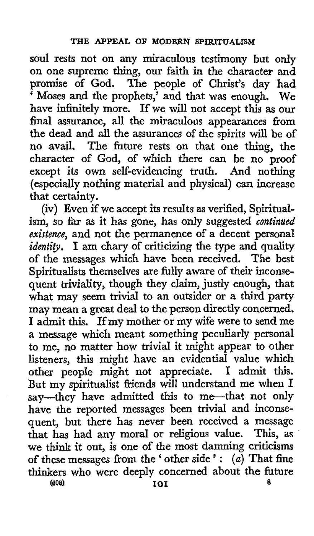**soul** rests not on any miraculous testimony but only on one supreme thing, our faith in the character and promise of God. The people of Christ's day had ' Moses and the prophets,' and that **was** enough. **We**  have infinitely more. If we will not accept this **as** our final assurance, **all** the miraculous appearances from the dead and all the assurances of the spirits will be of no avail. The future rests on that one **thing,** the character of God, of which there can be no proof except its own self-evidencing truth. And nothing (especially nothing material and physical) can increase that certainty.

(iv) Even if we accept its results as verified, Spiritualism, so far as it has gone, has only suggested *continued existence,* and not the permanence of a decent personal *identig.* **I** am chary of criticizing the type and quality of the messages which have been received. The best Spiritualists themselves are fully aware of their inconsequent triviality, though they claim, justly enough, that what may seem trivial to an outsider or a third party may mean a great deal to the person directly concerned. I admit this. If my mother or my wife were to send me a message which meant something peculiarly personal to me, no matter how trivial it might appear to other listeners, this might have an evidential value which other people might not appreciate. I admit this. But my spiritualist friends will understand me when I say-they have admitted this to me-that not **only**  have the reported messages been trivial and inconsequent, but there has never been received a message that has had any moral or religious value. This, **as**  we **think** it out, is one of the most damning criticisms we think it out, is one of the most damning criticisms<br>of these messages from the ' other side': (*a*) That fine thinkers **who** were deeply concerned about the future **I01** a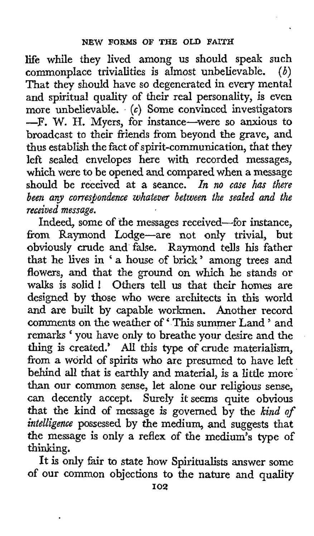life while they lived among us should speak such commonplace trivialities is almost unbelievable. *(6)*  That they should have so degenerated in every mental and spiritual quality of their real personality, **is** even more unbelievable. *(c)* Some convinced investigators -F. W. H. Myers, for instance-were so anxious to broadcast to their friends from beyond the grave, and thus establish the fact of spirit-communication, that they left sealed envelopes here with recorded messages, which were to be opened and compared when a message should be received at a seance. In no case has there been any correspondence whatever between the sealed and the *received message.* 

Indeed, some of the messages received-for instance, from Raymond Lodge-are not only trivial, but obviously crude and false. Raymond tells his father that he lives in ' a house of brick ' among trees and flowers, and that the ground on which he stands or walks is solid ! Others tell us that their homes are designed by those who were architects in this world and are built by capable workmen. Another record comments on the weather of 'This summer Land ' and remarks ' you have **only** to breathe your desire and the thing is created.' AU this type *of* crude materialism, from a world of spirits who are presumed to have left behind all that is earthly and material, is a little more than our common sense, let alone our religious sense, can decently accept. Surely it seems quite obvious that the kind of message **is** governed by the *kind of intelligence* possessed by the medium, and suggests that the message is only a reflex of the medium's type of thinking.

It is only fair to state how Spiritualists answer some of our common objections to the nature and quality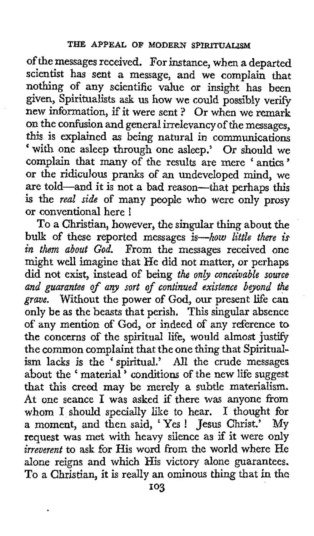of the messages received. For instance, when a departed scientist has sent a message, and we complain that nothing of any scientific value or insight has been given, Spiritualists ask us how we could possibly verify new information, if it were sent ? Or when we remark on the confusion and general irrelevancy of the messages, **this** is explained **as** being natural in communications ' with one asleep through one asleep.' Or should we complain that many of the results are mere ' antics ' or the ridiculous pranks of an undeveloped mind, we are told-and it is not a bad reason-that perhaps this is the *real side* of many people who were only prosy or conventional here !

To a Christian, however, the singular thing about the bulk of these reported messages is-how *little there is in them about God.* From the messages received one might well imagine that He did not matter, or perhaps did not exist, instead of being *the only conceivable source and guarantee of any sort of continued existerne beyond th grave.* Without the power of God, our present life can only be as the beasts that perish. This singular absence of any mention of God, or indeed of any reference to the concerns of the spiritual life, would almost **justify**  the common complaint that the one thing that Spiritualism lacks is the 'spiritual.' All the crude messages about the ' material ' conditions of the new life suggest that this creed may be merely a subtle materialism. At one seance I was asked if there was anyone from whom I should specially like to hear. I thought for a moment, and then said, 'Yes ! Jesus Christ.' My request was met with heavy silence as if it were only *irreverent* to ask for His word from the world where He alone reigns and which His victory alone guarantees. To a Christian, it is really an ominous thing that in the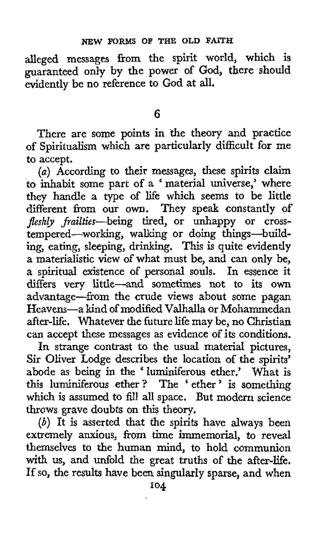alleged messages from the spirit world, which is guaranteed only by the power of God, there should evidently be no reference to God at all.

*6* 

There are some points in the theory and practice of Spiritualism which are particularly difficult for me to accept.

*(a)* According to their messages, these spirits claim (a) According to their messages, these spirits claim<br>to inhabit some part of a 'material universe,' where they handle a type of life which seems to be little different from our **own.** They speak constantly of *Jleshly* frailties-being tired, **or** unhappy or crosstempered-working, walking or doing things-building, eating, sleeping, drinking. This is quite evidently a materialistic view of what must be, and can only be, a spiritual existence of personal souls. In essence it differs very little-and sometimes not to its **own**  advantage--from the crude views about some pagan Heavens-a kind of modified Valhalla or Mohammedan after-life. Whatever the future life may be, no Christian can accept these messages as evidence of its conditions.

In strange contrast to the usual material pictures, Sir Oliver Lodge describes the location of the spirits' abode as being in the ' luminiferous ether.' What is this luminiferous ether ? The ' ether ' is something which is assumed to fill all space. But modern science throws grave doubts on this theory.

 $(b)$  It is asserted that the spirits have always been extremely anxious, from time immemorial, to reveal themselves to the human mind, to hold communion with **us,** and unfold the great truths of the after-life. If so, the results have been singularly sparse, and when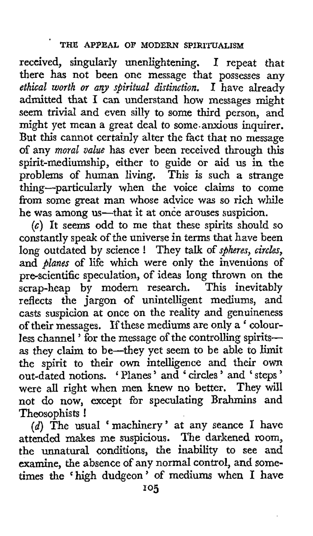received, singularly unenlightening. I repeat that there has not been one message that possesses any *ethical worth or any spiritual distinction.* **I** have already admitted that I can understand how messages might seem trivial and even silly to some third person, and might yet mean a great deal to some.anxious inquirer. But **this** cannot certainly alter the fact that no message **of** any *moral value* has ever been received through this spirit-mediumship, either to guide or aid us in the problems of human living. This is such **a** strange thing-particularly when the voice claims to come from some great man whose advice was so rich while he was among us-that it at once arouses suspicion.

*(c)* It seems odd to me that these spirits should so constantly speak of the universe in terms that have been long outdated by science ! They talk of *s@heres, circles,*  and *planes* of life which were only the inventions of pre-scientific speculation, of ideas **long** thrown on the scrap-heap by modern research. This inevitably reflects the jargon of unintelligent mediums, and casts suspicion at once on the reality and genuineness of their messages. **If** these mediums are only a ' colourless channel ' for the message of the controlling spirits**as** they claim to be-they yet seem to be able to limit the spirit to their own intelligence and their **own**  out-dated notions. Planes ' and ' circles ' and ' steps ' were all right when men knew no better. They will not do now, except for speculating Brahmins and Theosophists !

*(d)* The usual machinery ' at any seance I have attended makes me suspicious. The darkened room, the unnatural conditions, the inability to see and examine, the absence of any normal control, and some-<br>times the 'high dudgeon' of mediums when I have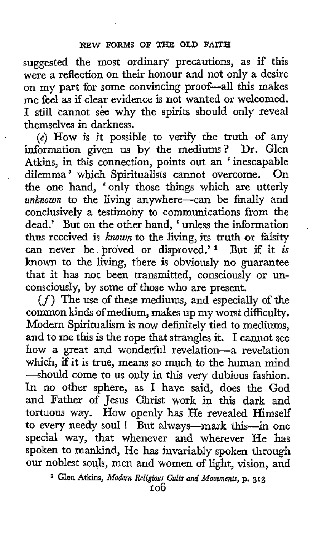suggested the most ordinary precautions, as if this were **a** reflection on their honour and not only a desire on **my** part for some convincing proof-all this makes me feel as if clear evidence is not wanted or welcomed. **I** still cannot see why the spirits should only reveal themselves in darkness.

*(e)* How is it possible to verify the truth of any information given us by the mediums? Dr. Glen Atkins, in this connection, points out an 'inescapable dilemma' which Spiritualists cannot overcome. On dilemma' which Spiritualists cannot overcome. the one hand, 'only those things which are utterly unknown to the living anywhere-can be finally and conclusively **a** testimony to communications from the dead.' But on the other hand, ' unless the information thus received is *known* to the living, its **truth** or falsity can never be proved or disproved.'<sup>1</sup> But if it *is* known to the living, there is obviously no guarantee that it has not been transmitted, consciously or unconsciously, by some of those who are present.

,

*(f)* The use of these mediums, and especially of the common kinds of medium, makes up my worst difficulty. Modern Spiritualism is now definitely tied to mediums, and to me this is the rope that strangles it. **I** cannot see how a great and wonderful revelation-a revelation which, if it is true, means so much to the human mind -should come to us only in this very dubious fashion. In no other sphere, as I have said, does the God and Father of Jesus Christ work in this dark and tortuous way. How openly has He revealcd Himself to every needy soul ! But always-mark this-in one special way, that whenever and wherever He has spoken to mankind, He has invariably spoken through our noblest souls, men and women of light, vision, and

Glen **Atkins,** *Modern Religious Cults and Moucmmts,* p. **313**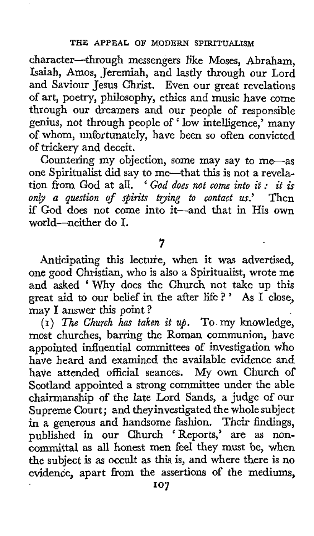character-through messengers like Moses, Abraham, Isaiah, Amos, Jeremiah, and lastly through our Lord and Saviour Jesus Christ. Even our great revelations of art, poetry, philosophy, ethics and music have come through our dreamers and our people of responsible genius, not through people of ' low intelligence,' many of whom, unfortunately, have been so often convicted of trickery and deceit.

Countering my objection, some may say to me-as one Spiritualist did say to me-that this is not a revela-tion from God at all. ' *God does not come into it* : *it is onb a question of spirits trying to contact* **us.'** Then if God does not come into it-and that in His **own**  world-neither do I.

**7** 

Anticipating *this* lecture, when **it** was advertised, one good Christian, who is also a Spiritualist, wrote me and asked 'Why does the Church not take up this great aid to our belief in the after life ? ' *As* I close, may I answer this point ?

**(I)** *The Church has taken it up.* To my knowledge, most churches, barring the Roman communion, have appointed influential committees of investigation who have heard and examined the available evidence and have attended official seances. My own Church of Scotland appointed a strong committee under the able chairmanship of the late Lord Sands, a judge of our Supreme Court; and they investigated the whole subject in a generous and handsome fashion. Their findings, published in our Church 'Reports,' are as noncommittal as all honest men feel they must be, when the subject is as occult as this is, and where there is no evidence, apart **from** the assertions of the mediums,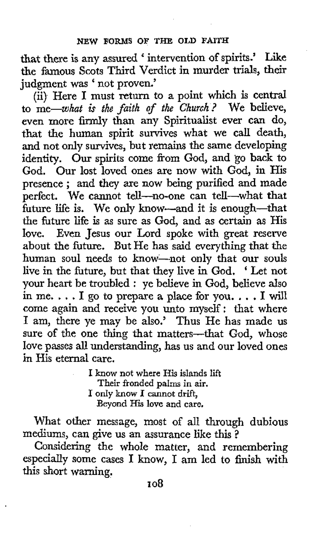that there is any assured ' intervention of spirits.' Like the famous Scots Third Verdict in murder trials, their judgment was ' not proven.'

(ii) Here I must return to a point which is central to  $me$ -what is the faith of the Church? We believe, even more firmly than any Spiritualist ever can do, that the human spirit survives what we call death, and not only survives, but remains the same developing identity. **Our** spirits come from God, and *go* back to God, Our lost loved ones are now with God, in His presence ; and they are now being purified and made perfect. We cannot tell-no-one can tell-what that future life is. We only know-and it is enough-that the future life is as sure as God, and as certain as His love. Even Jesus our Lord spoke with great reserve about the future. But He has said everything that the human soul needs to know-not only that our souls live in the future, but that they live in God. ' Let not your heart be troubled : ye believe in God, believe also in me.  $\ldots$  I go to prepare a place for you.  $\ldots$  I will come again and receive you unto myself: that where I am, there ye may be also.' Thus He has made us sure of the one thing that matters-that God, whose love passes all understanding, has us and our loved ones in His eternal care.

> I know not where **His** islands **lift**  Their fronded palms in air. I only know **I** cannot drift, Beyond His **love** and care.

What other message, most of all through dubious mediums, can give us an assurance like this ?

Considering the whole matter, and remembering especially some cases I know, I am led to finish with this short warning.